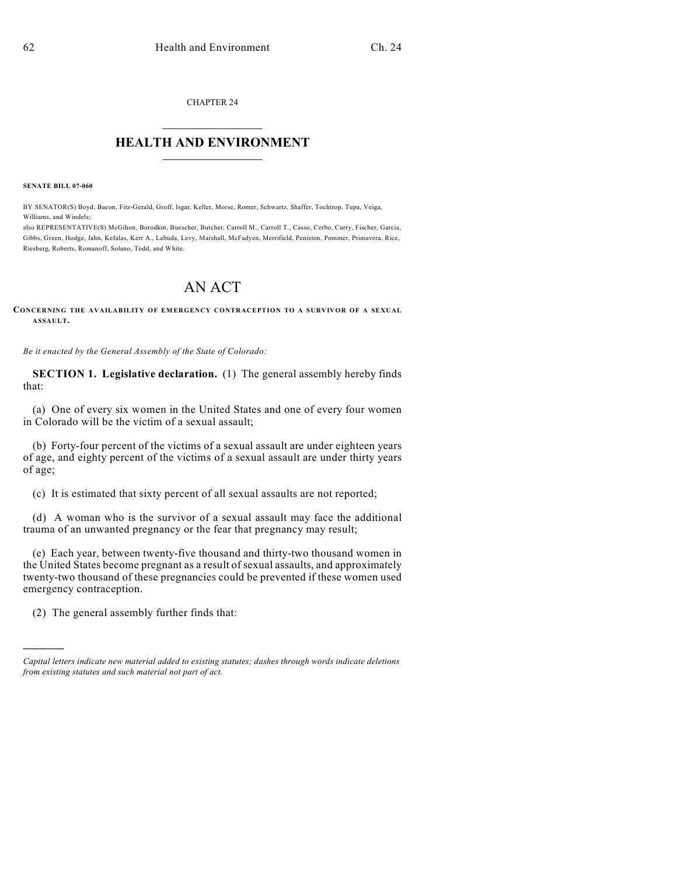CHAPTER 24  $\mathcal{L}_\text{max}$  . The set of the set of the set of the set of the set of the set of the set of the set of the set of the set of the set of the set of the set of the set of the set of the set of the set of the set of the set

## **HEALTH AND ENVIRONMENT**  $\_$

**SENATE BILL 07-060**

BY SENATOR(S) Boyd, Bacon, Fitz-Gerald, Groff, Isgar, Keller, Morse, Romer, Schwartz, Shaffer, Tochtrop, Tupa, Veiga, Williams, and Windels;

also REPRESENTATIVE(S) McGihon, Borodkin, Buescher, Butcher, Carroll M., Carroll T., Casso, Cerbo, Curry, Fischer, Garcia, Gibbs, Green, Hodge, Jahn, Kefalas, Kerr A., Labuda, Levy, Marshall, McFadyen, Merrifield, Peniston, Pommer, Primavera, Rice, Riesberg, Roberts, Romanoff, Solano, Todd, and White.

## AN ACT

**CONCERNING THE AVAILABILITY OF EMERGENCY CONTRACEPTION TO A SURVIVOR OF A SEXUAL ASSAULT.**

*Be it enacted by the General Assembly of the State of Colorado:*

**SECTION 1. Legislative declaration.** (1) The general assembly hereby finds that:

(a) One of every six women in the United States and one of every four women in Colorado will be the victim of a sexual assault;

(b) Forty-four percent of the victims of a sexual assault are under eighteen years of age, and eighty percent of the victims of a sexual assault are under thirty years of age;

(c) It is estimated that sixty percent of all sexual assaults are not reported;

(d) A woman who is the survivor of a sexual assault may face the additional trauma of an unwanted pregnancy or the fear that pregnancy may result;

(e) Each year, between twenty-five thousand and thirty-two thousand women in the United States become pregnant as a result of sexual assaults, and approximately twenty-two thousand of these pregnancies could be prevented if these women used emergency contraception.

(2) The general assembly further finds that:

)))))

*Capital letters indicate new material added to existing statutes; dashes through words indicate deletions from existing statutes and such material not part of act.*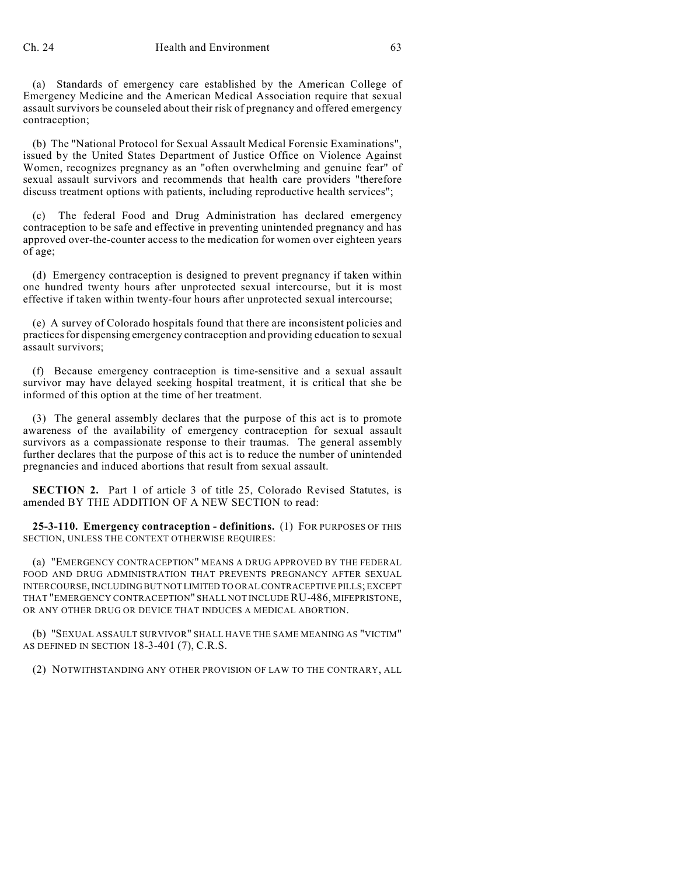(a) Standards of emergency care established by the American College of Emergency Medicine and the American Medical Association require that sexual assault survivors be counseled about their risk of pregnancy and offered emergency contraception;

(b) The "National Protocol for Sexual Assault Medical Forensic Examinations", issued by the United States Department of Justice Office on Violence Against Women, recognizes pregnancy as an "often overwhelming and genuine fear" of sexual assault survivors and recommends that health care providers "therefore discuss treatment options with patients, including reproductive health services";

(c) The federal Food and Drug Administration has declared emergency contraception to be safe and effective in preventing unintended pregnancy and has approved over-the-counter access to the medication for women over eighteen years of age;

(d) Emergency contraception is designed to prevent pregnancy if taken within one hundred twenty hours after unprotected sexual intercourse, but it is most effective if taken within twenty-four hours after unprotected sexual intercourse;

(e) A survey of Colorado hospitals found that there are inconsistent policies and practices for dispensing emergency contraception and providing education to sexual assault survivors;

(f) Because emergency contraception is time-sensitive and a sexual assault survivor may have delayed seeking hospital treatment, it is critical that she be informed of this option at the time of her treatment.

(3) The general assembly declares that the purpose of this act is to promote awareness of the availability of emergency contraception for sexual assault survivors as a compassionate response to their traumas. The general assembly further declares that the purpose of this act is to reduce the number of unintended pregnancies and induced abortions that result from sexual assault.

**SECTION 2.** Part 1 of article 3 of title 25, Colorado Revised Statutes, is amended BY THE ADDITION OF A NEW SECTION to read:

**25-3-110. Emergency contraception - definitions.** (1) FOR PURPOSES OF THIS SECTION, UNLESS THE CONTEXT OTHERWISE REQUIRES:

(a) "EMERGENCY CONTRACEPTION" MEANS A DRUG APPROVED BY THE FEDERAL FOOD AND DRUG ADMINISTRATION THAT PREVENTS PREGNANCY AFTER SEXUAL INTERCOURSE, INCLUDING BUT NOT LIMITED TO ORAL CONTRACEPTIVE PILLS; EXCEPT THAT "EMERGENCY CONTRACEPTION" SHALL NOT INCLUDE RU-486, MIFEPRISTONE, OR ANY OTHER DRUG OR DEVICE THAT INDUCES A MEDICAL ABORTION.

(b) "SEXUAL ASSAULT SURVIVOR" SHALL HAVE THE SAME MEANING AS "VICTIM" AS DEFINED IN SECTION 18-3-401 (7), C.R.S.

(2) NOTWITHSTANDING ANY OTHER PROVISION OF LAW TO THE CONTRARY, ALL